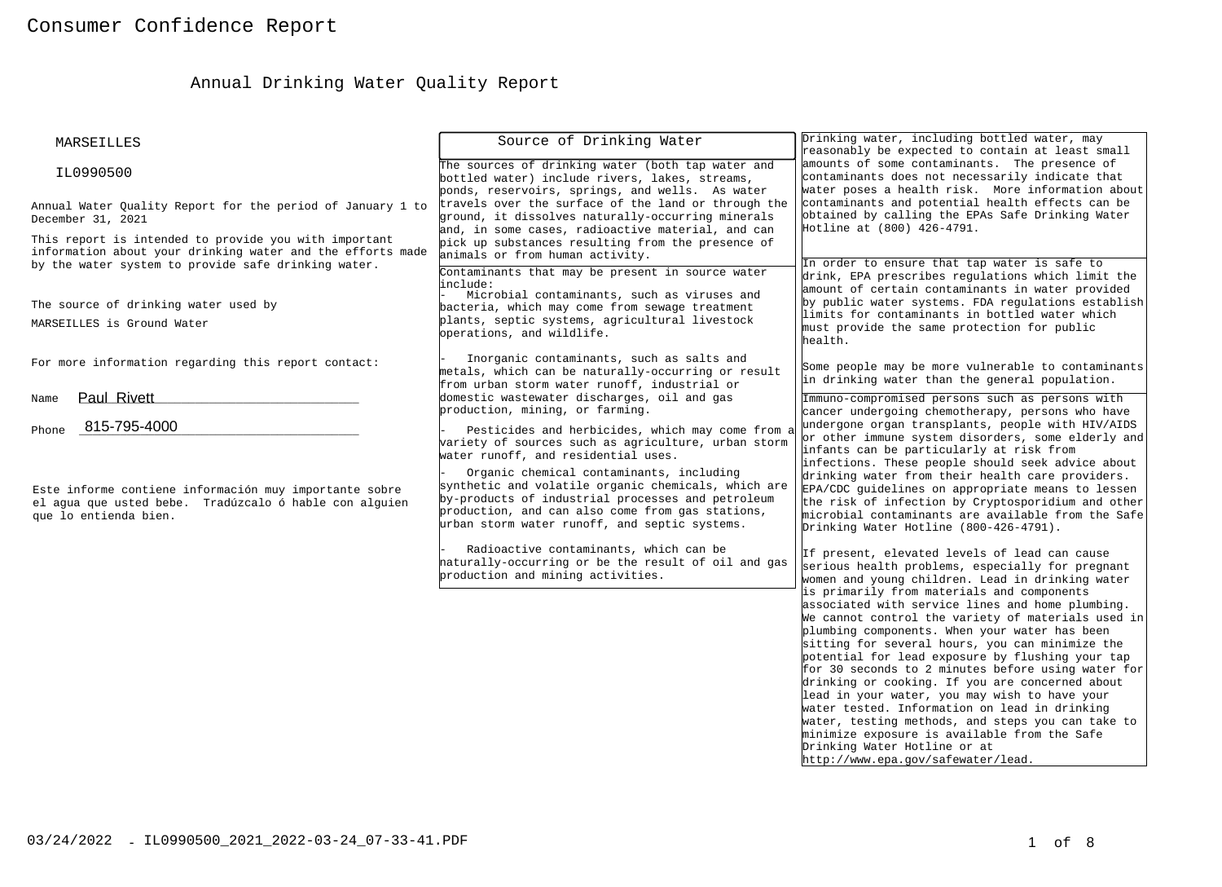# Annual Drinking Water Quality Report

| MARSEILLES                                                                                                                                                                 | Source of Drinking Water                                                                                                                                                                                                                                                                                                                                | Drinking water, including bottled water, may<br>reasonably be expected to contain at least small                                                                                                                                                                                                                                                                                                                                                                                                                                                                                                                                                                                                   |
|----------------------------------------------------------------------------------------------------------------------------------------------------------------------------|---------------------------------------------------------------------------------------------------------------------------------------------------------------------------------------------------------------------------------------------------------------------------------------------------------------------------------------------------------|----------------------------------------------------------------------------------------------------------------------------------------------------------------------------------------------------------------------------------------------------------------------------------------------------------------------------------------------------------------------------------------------------------------------------------------------------------------------------------------------------------------------------------------------------------------------------------------------------------------------------------------------------------------------------------------------------|
| IL0990500                                                                                                                                                                  | The sources of drinking water (both tap water and<br>bottled water) include rivers, lakes, streams,<br>ponds, reservoirs, springs, and wells. As water                                                                                                                                                                                                  | amounts of some contaminants. The presence of<br>contaminants does not necessarily indicate that<br>water poses a health risk. More information about                                                                                                                                                                                                                                                                                                                                                                                                                                                                                                                                              |
| Annual Water Quality Report for the period of January 1 to<br>December 31, 2021                                                                                            | travels over the surface of the land or through the<br>ground, it dissolves naturally-occurring minerals<br>and, in some cases, radioactive material, and can                                                                                                                                                                                           | contaminants and potential health effects can be<br>obtained by calling the EPAs Safe Drinking Water<br>Hotline at (800) 426-4791.                                                                                                                                                                                                                                                                                                                                                                                                                                                                                                                                                                 |
| This report is intended to provide you with important<br>information about your drinking water and the efforts made<br>by the water system to provide safe drinking water. | pick up substances resulting from the presence of<br>animals or from human activity.                                                                                                                                                                                                                                                                    | In order to ensure that tap water is safe to                                                                                                                                                                                                                                                                                                                                                                                                                                                                                                                                                                                                                                                       |
| The source of drinking water used by                                                                                                                                       | Contaminants that may be present in source water<br>include:<br>Microbial contaminants, such as viruses and<br>bacteria, which may come from sewage treatment<br>plants, septic systems, agricultural livestock                                                                                                                                         | drink, EPA prescribes regulations which limit the<br>amount of certain contaminants in water provided<br>by public water systems. FDA regulations establish<br>limits for contaminants in bottled water which                                                                                                                                                                                                                                                                                                                                                                                                                                                                                      |
| MARSEILLES is Ground Water                                                                                                                                                 | operations, and wildlife.                                                                                                                                                                                                                                                                                                                               | must provide the same protection for public<br>health.                                                                                                                                                                                                                                                                                                                                                                                                                                                                                                                                                                                                                                             |
| For more information regarding this report contact:                                                                                                                        | Inorganic contaminants, such as salts and<br>metals, which can be naturally-occurring or result<br>from urban storm water runoff, industrial or                                                                                                                                                                                                         | Some people may be more vulnerable to contaminants<br>in drinking water than the general population.                                                                                                                                                                                                                                                                                                                                                                                                                                                                                                                                                                                               |
| Paul Rivett<br>Name<br>815-795-4000<br>Phone                                                                                                                               | domestic wastewater discharges, oil and gas<br>production, mining, or farming.<br>Pesticides and herbicides, which may come from a                                                                                                                                                                                                                      | Immuno-compromised persons such as persons with<br>cancer undergoing chemotherapy, persons who have<br>undergone organ transplants, people with HIV/AIDS                                                                                                                                                                                                                                                                                                                                                                                                                                                                                                                                           |
| Este informe contiene información muy importante sobre<br>el agua que usted bebe. Tradúzcalo ó hable con alguien<br>que lo entienda bien.                                  | variety of sources such as agriculture, urban storm<br>water runoff, and residential uses.<br>Organic chemical contaminants, including<br>synthetic and volatile organic chemicals, which are<br>by-products of industrial processes and petroleum<br>production, and can also come from gas stations,<br>urban storm water runoff, and septic systems. | or other immune system disorders, some elderly and<br>infants can be particularly at risk from<br>infections. These people should seek advice about<br>drinking water from their health care providers.<br>EPA/CDC guidelines on appropriate means to lessen<br>the risk of infection by Cryptosporidium and other<br>microbial contaminants are available from the Safe<br>Drinking Water Hotline (800-426-4791).                                                                                                                                                                                                                                                                                 |
|                                                                                                                                                                            | Radioactive contaminants, which can be<br>haturally-occurring or be the result of oil and gas<br>production and mining activities.                                                                                                                                                                                                                      | If present, elevated levels of lead can cause<br>serious health problems, especially for pregnant<br>women and young children. Lead in drinking water                                                                                                                                                                                                                                                                                                                                                                                                                                                                                                                                              |
|                                                                                                                                                                            |                                                                                                                                                                                                                                                                                                                                                         | is primarily from materials and components<br>associated with service lines and home plumbing.<br>We cannot control the variety of materials used in<br>plumbing components. When your water has been<br>sitting for several hours, you can minimize the<br>potential for lead exposure by flushing your tap<br>for 30 seconds to 2 minutes before using water for<br>drinking or cooking. If you are concerned about<br>lead in your water, you may wish to have your<br>water tested. Information on lead in drinking<br>water, testing methods, and steps you can take to<br>minimize exposure is available from the Safe<br>Drinking Water Hotline or at<br>http://www.epa.gov/safewater/lead. |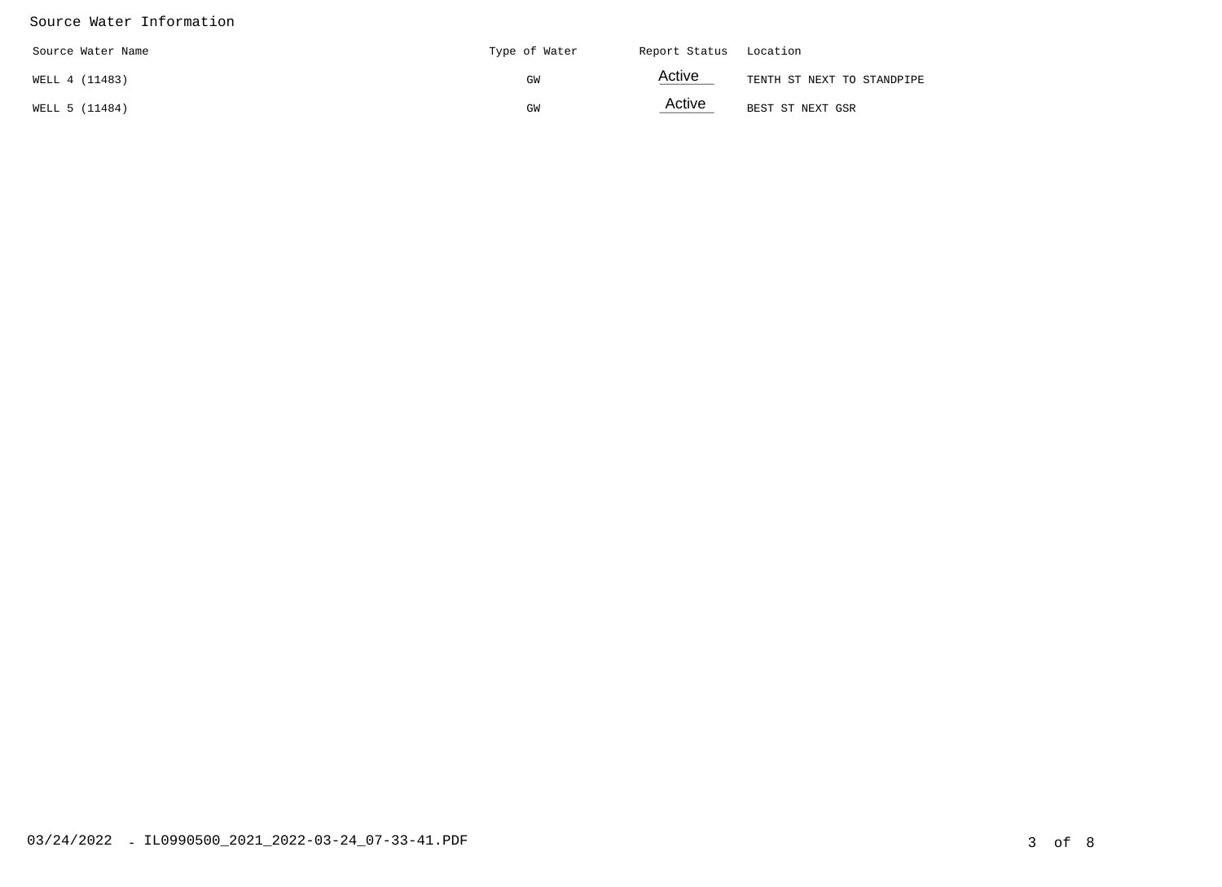#### Source Water Information

| Source Water Name | Type of Water | Report Status Location |                            |
|-------------------|---------------|------------------------|----------------------------|
| WELL 4 (11483)    | GW            | <b>Active</b>          | TENTH ST NEXT TO STANDPIPE |
| WELL 5 (11484)    | GW            | Active                 | BEST ST NEXT GSR           |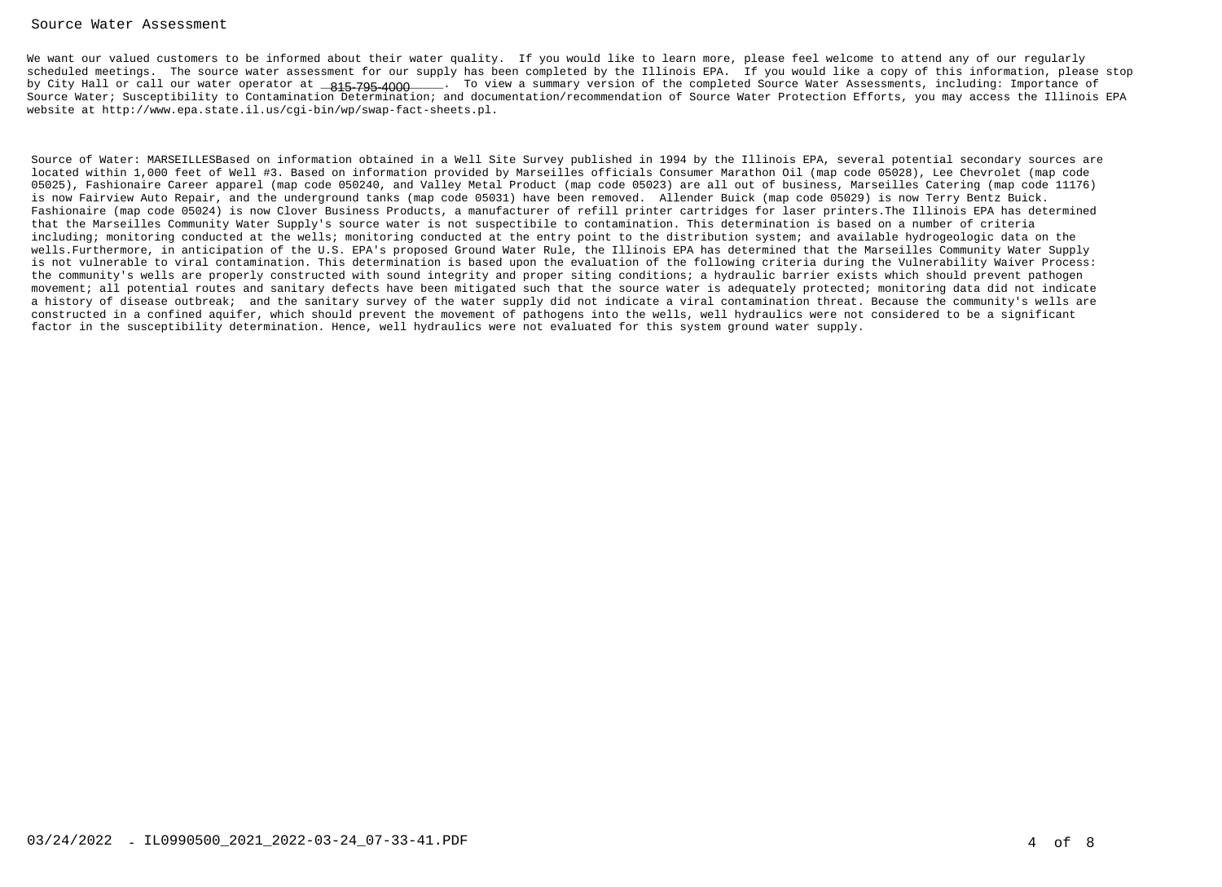#### Source Water Assessment

We want our valued customers to be informed about their water quality. If you would like to learn more, please feel welcome to attend any of our regularly scheduled meetings. The source water assessment for our supply has been completed by the Illinois EPA. If you would like a copy of this information, please stopby City Hall or call our water operator at \_**815-795-4000**\_\_\_\_. To view a summary version of the completed Source Water Assessments, including: Importance of Source Water; Susceptibility to Contamination Determination; and documentation/recommendation of Source Water Protection Efforts, you may access the Illinois EPAwebsite at http://www.epa.state.il.us/cgi-bin/wp/swap-fact-sheets.pl.

Source of Water: MARSEILLESBased on information obtained in a Well Site Survey published in 1994 by the Illinois EPA, several potential secondary sources arelocated within 1,000 feet of Well #3. Based on information provided by Marseilles officials Consumer Marathon Oil (map code 05028), Lee Chevrolet (map code 05025), Fashionaire Career apparel (map code 050240, and Valley Metal Product (map code 05023) are all out of business, Marseilles Catering (map code 11176)is now Fairview Auto Repair, and the underground tanks (map code 05031) have been removed. Allender Buick (map code 05029) is now Terry Bentz Buick. Fashionaire (map code 05024) is now Clover Business Products, a manufacturer of refill printer cartridges for laser printers.The Illinois EPA has determinedthat the Marseilles Community Water Supply's source water is not suspectibile to contamination. This determination is based on a number of criteria including; monitoring conducted at the wells; monitoring conducted at the entry point to the distribution system; and available hydrogeologic data on the wells.Furthermore, in anticipation of the U.S. EPA's proposed Ground Water Rule, the Illinois EPA has determined that the Marseilles Community Water Supply is not vulnerable to viral contamination. This determination is based upon the evaluation of the following criteria during the Vulnerability Waiver Process:the community's wells are properly constructed with sound integrity and proper siting conditions; a hydraulic barrier exists which should prevent pathogen movement; all potential routes and sanitary defects have been mitigated such that the source water is adequately protected; monitoring data did not indicate a history of disease outbreak; and the sanitary survey of the water supply did not indicate a viral contamination threat. Because the community's wells areconstructed in a confined aquifer, which should prevent the movement of pathogens into the wells, well hydraulics were not considered to be a significantfactor in the susceptibility determination. Hence, well hydraulics were not evaluated for this system ground water supply.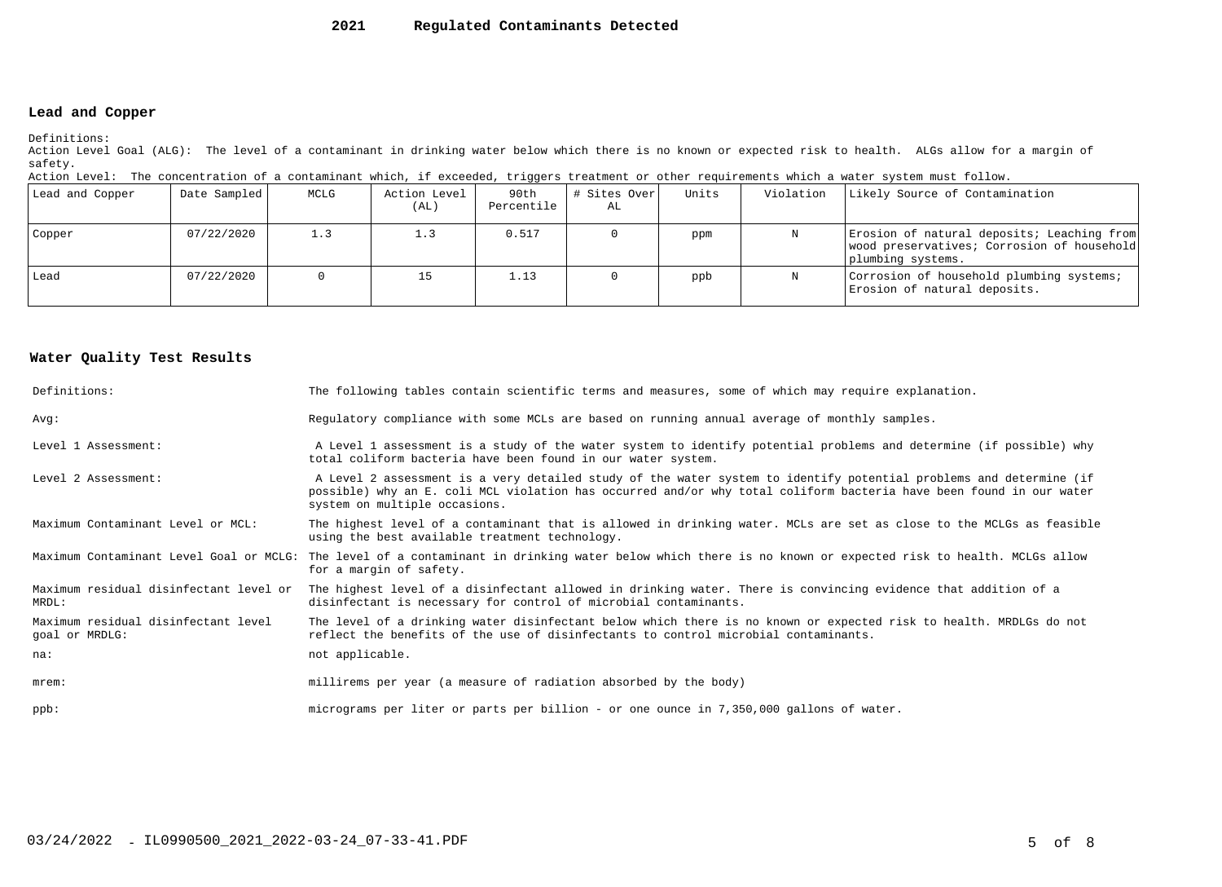#### **2021Regulated Contaminants Detected**

### **Lead and Copper**

Definitions:

 Action Level Goal (ALG): The level of a contaminant in drinking water below which there is no known or expected risk to health. ALGs allow for a margin ofsafety.

| Action Level: The concentration of a contaminant which, if exceeded, triggers treatment or other requirements which a water system must follow. |  |  |  |
|-------------------------------------------------------------------------------------------------------------------------------------------------|--|--|--|
|                                                                                                                                                 |  |  |  |

| Lead and Copper | Date Sampled | MCLG | Action Level<br>(AL) | 90th<br>Percentile | # Sites Over <br>AL | Units | Violation | Likely Source of Contamination                                                                                |
|-----------------|--------------|------|----------------------|--------------------|---------------------|-------|-----------|---------------------------------------------------------------------------------------------------------------|
| Copper          | 07/22/2020   | 1.3  |                      | 0.517              |                     | ppm   |           | Erosion of natural deposits; Leaching from<br>wood preservatives; Corrosion of household<br>plumbing systems. |
| Lead            | 07/22/2020   |      |                      | 1.13               |                     | ppb   |           | Corrosion of household plumbing systems;<br>Erosion of natural deposits.                                      |

#### **Water Quality Test Results**

| Definitions:                                          | The following tables contain scientific terms and measures, some of which may require explanation.                                                                                                                                                                         |
|-------------------------------------------------------|----------------------------------------------------------------------------------------------------------------------------------------------------------------------------------------------------------------------------------------------------------------------------|
| Avq:                                                  | Regulatory compliance with some MCLs are based on running annual average of monthly samples.                                                                                                                                                                               |
| Level 1 Assessment:                                   | A Level 1 assessment is a study of the water system to identify potential problems and determine (if possible) why<br>total coliform bacteria have been found in our water system.                                                                                         |
| Level 2 Assessment:                                   | A Level 2 assessment is a very detailed study of the water system to identify potential problems and determine (if<br>possible) why an E. coli MCL violation has occurred and/or why total coliform bacteria have been found in our water<br>system on multiple occasions. |
| Maximum Contaminant Level or MCL:                     | The highest level of a contaminant that is allowed in drinking water. MCLs are set as close to the MCLGs as feasible<br>using the best available treatment technology.                                                                                                     |
| Maximum Contaminant Level Goal or MCLG:               | The level of a contaminant in drinking water below which there is no known or expected risk to health. MCLGs allow<br>for a margin of safety.                                                                                                                              |
| Maximum residual disinfectant level or<br>MRDL:       | The highest level of a disinfectant allowed in drinking water. There is convincing evidence that addition of a<br>disinfectant is necessary for control of microbial contaminants.                                                                                         |
| Maximum residual disinfectant level<br>goal or MRDLG: | The level of a drinking water disinfectant below which there is no known or expected risk to health. MRDLGs do not<br>reflect the benefits of the use of disinfectants to control microbial contaminants.                                                                  |
| na:                                                   | not applicable.                                                                                                                                                                                                                                                            |
| $m$ rem:                                              | millirems per year (a measure of radiation absorbed by the body)                                                                                                                                                                                                           |
| $ppb$ :                                               | micrograms per liter or parts per billion - or one ounce in 7,350,000 gallons of water.                                                                                                                                                                                    |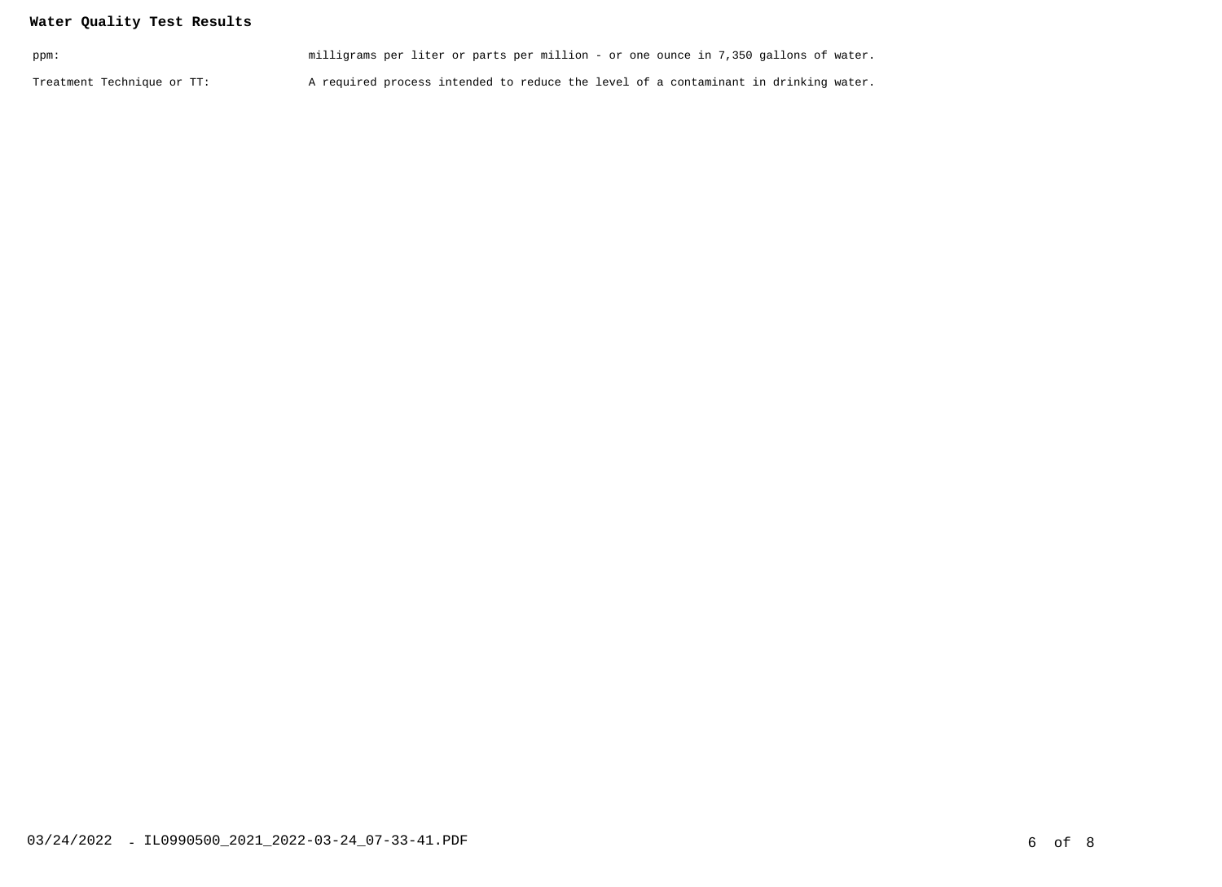## **Water Quality Test Results**

| ppm:                       | milligrams per liter or parts per million - or one ounce in 7,350 gallons of water. |  |
|----------------------------|-------------------------------------------------------------------------------------|--|
| Treatment Technique or TT: | A required process intended to reduce the level of a contaminant in drinking water. |  |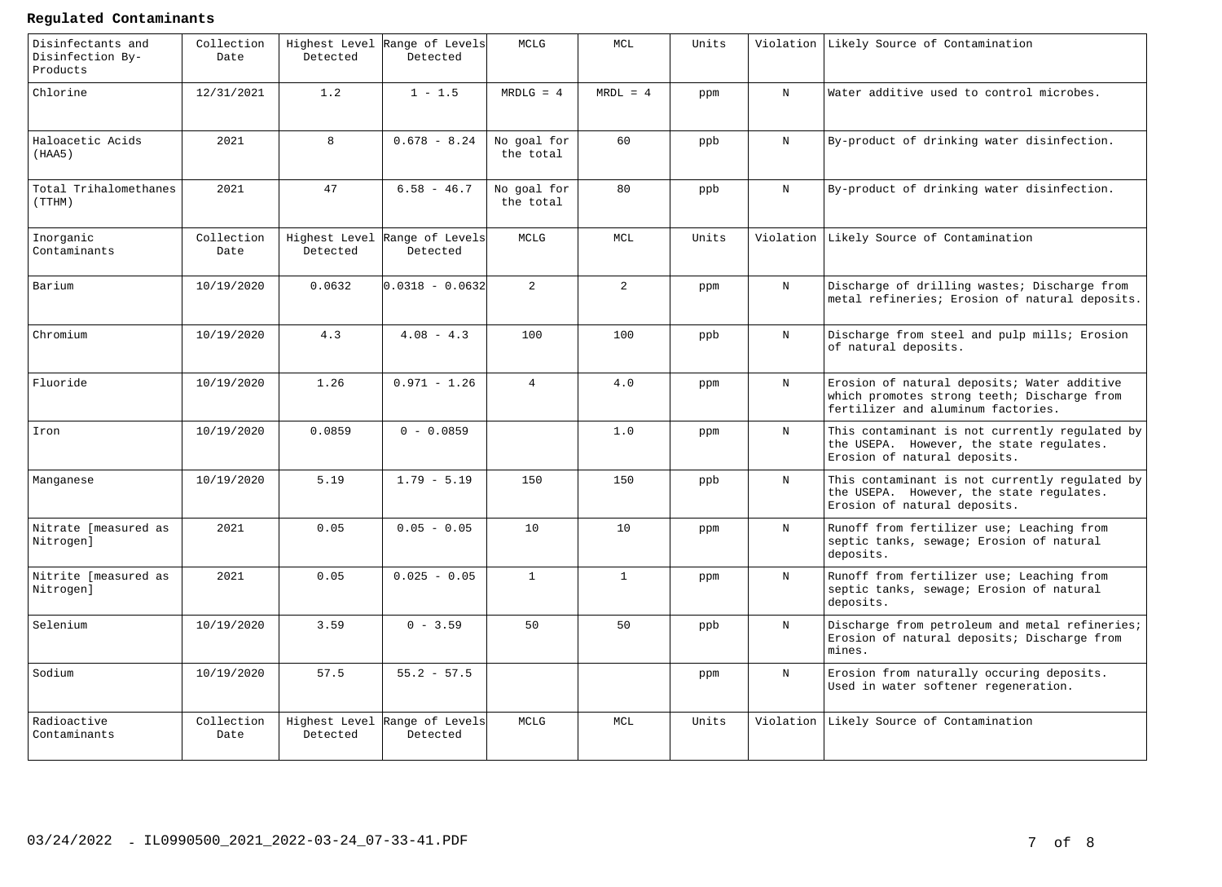#### **Regulated Contaminants**

| Disinfectants and<br>Disinfection By-<br>Products | Collection<br>Date | Highest Level<br>Detected | Range of Levels<br>Detected               | MCLG                     | MCL            | Units |              | Violation Likely Source of Contamination                                                                                         |
|---------------------------------------------------|--------------------|---------------------------|-------------------------------------------|--------------------------|----------------|-------|--------------|----------------------------------------------------------------------------------------------------------------------------------|
| Chlorine                                          | 12/31/2021         | 1.2                       | $1 - 1.5$                                 | $MRDLG = 4$              | $MRDL = 4$     | ppm   | $_{\rm N}$   | Water additive used to control microbes.                                                                                         |
| Haloacetic Acids<br>(HAA5)                        | 2021               | 8                         | $0.678 - 8.24$                            | No goal for<br>the total | 60             | ppb   | $_{\rm N}$   | By-product of drinking water disinfection.                                                                                       |
| Total Trihalomethanes<br>(TTHM)                   | 2021               | 47                        | $6.58 - 46.7$                             | No goal for<br>the total | 80             | ppb   | $_{\rm N}$   | By-product of drinking water disinfection.                                                                                       |
| Inorganic<br>Contaminants                         | Collection<br>Date | Highest Level<br>Detected | Range of Levels<br>Detected               | MCLG                     | $\sf MCL$      | Units | Violation    | Likely Source of Contamination                                                                                                   |
| Barium                                            | 10/19/2020         | 0.0632                    | $0.0318 - 0.0632$                         | $\overline{a}$           | $\overline{a}$ | ppm   | N            | Discharge of drilling wastes; Discharge from<br>metal refineries; Erosion of natural deposits.                                   |
| Chromium                                          | 10/19/2020         | 4.3                       | $4.08 - 4.3$                              | 100                      | 100            | ppb   | N            | Discharge from steel and pulp mills; Erosion<br>of natural deposits.                                                             |
| Fluoride                                          | 10/19/2020         | 1.26                      | $0.971 - 1.26$                            | $\overline{4}$           | 4.0            | ppm   | N            | Erosion of natural deposits; Water additive<br>which promotes strong teeth; Discharge from<br>fertilizer and aluminum factories. |
| Iron                                              | 10/19/2020         | 0.0859                    | $0 - 0.0859$                              |                          | 1.0            | ppm   | N            | This contaminant is not currently regulated by<br>the USEPA. However, the state regulates.<br>Erosion of natural deposits.       |
| Manganese                                         | 10/19/2020         | 5.19                      | $1.79 - 5.19$                             | 150                      | 150            | ppb   | N            | This contaminant is not currently regulated by<br>the USEPA. However, the state regulates.<br>Erosion of natural deposits.       |
| Nitrate [measured as<br>Nitrogen]                 | 2021               | 0.05                      | $0.05 - 0.05$                             | 10                       | 10             | ppm   | $\, {\rm N}$ | Runoff from fertilizer use; Leaching from<br>septic tanks, sewage; Erosion of natural<br>deposits.                               |
| Nitrite [measured as<br>Nitrogen]                 | 2021               | 0.05                      | $0.025 - 0.05$                            | $\mathbf{1}$             | $\mathbf{1}$   | ppm   | N            | Runoff from fertilizer use; Leaching from<br>septic tanks, sewage; Erosion of natural<br>deposits.                               |
| Selenium                                          | 10/19/2020         | 3.59                      | $0 - 3.59$                                | 50                       | 50             | ppb   | $_{\rm N}$   | Discharge from petroleum and metal refineries;<br>Erosion of natural deposits; Discharge from<br>mines.                          |
| Sodium                                            | 10/19/2020         | 57.5                      | $55.2 - 57.5$                             |                          |                | ppm   | $_{\rm N}$   | Erosion from naturally occuring deposits.<br>Used in water softener regeneration.                                                |
| Radioactive<br>Contaminants                       | Collection<br>Date | Detected                  | Highest Level Range of Levels<br>Detected | MCLG                     | MCL            | Units | Violation    | Likely Source of Contamination                                                                                                   |